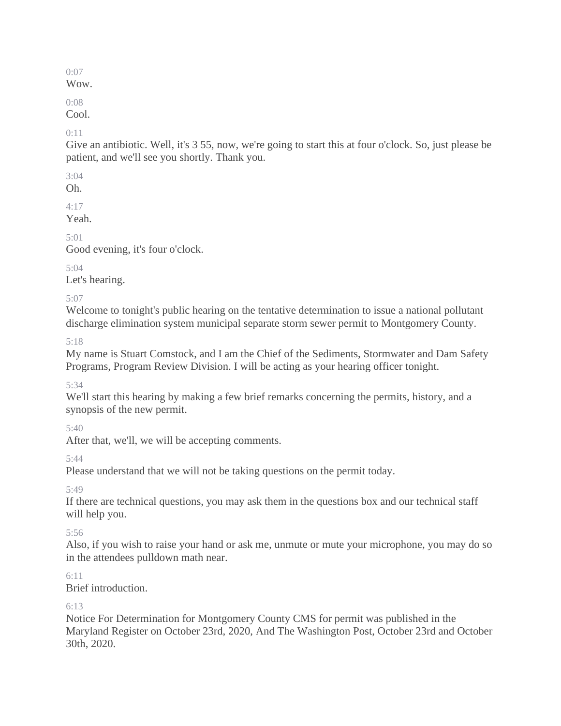Wow.

0:08

Cool.

 $0:11$ 

Give an antibiotic. Well, it's 3 55, now, we're going to start this at four o'clock. So, just please be patient, and we'll see you shortly. Thank you.

3:04

Oh.

 $4.17$ 

Yeah.

5:01

Good evening, it's four o'clock.

5:04

Let's hearing.

5:07

Welcome to tonight's public hearing on the tentative determination to issue a national pollutant discharge elimination system municipal separate storm sewer permit to Montgomery County.

5:18

My name is Stuart Comstock, and I am the Chief of the Sediments, Stormwater and Dam Safety Programs, Program Review Division. I will be acting as your hearing officer tonight.

5:34

We'll start this hearing by making a few brief remarks concerning the permits, history, and a synopsis of the new permit.

5:40

After that, we'll, we will be accepting comments.

5:44

Please understand that we will not be taking questions on the permit today.

5:49

If there are technical questions, you may ask them in the questions box and our technical staff will help you.

5:56

Also, if you wish to raise your hand or ask me, unmute or mute your microphone, you may do so in the attendees pulldown math near.

6:11

Brief introduction.

6:13

Notice For Determination for Montgomery County CMS for permit was published in the Maryland Register on October 23rd, 2020, And The Washington Post, October 23rd and October 30th, 2020.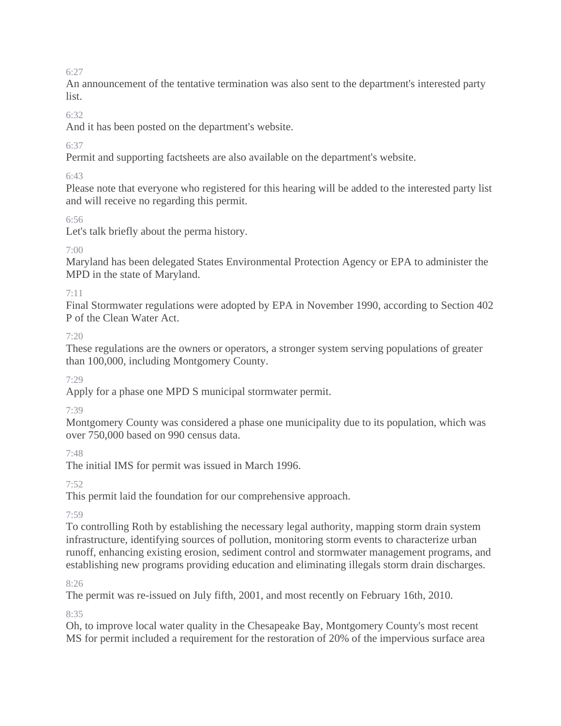An announcement of the tentative termination was also sent to the department's interested party list.

## $6.32$

And it has been posted on the department's website.

## 6:37

Permit and supporting factsheets are also available on the department's website.

## 6:43

Please note that everyone who registered for this hearing will be added to the interested party list and will receive no regarding this permit.

## 6:56

Let's talk briefly about the perma history.

## $7.00$

Maryland has been delegated States Environmental Protection Agency or EPA to administer the MPD in the state of Maryland.

## 7:11

Final Stormwater regulations were adopted by EPA in November 1990, according to Section 402 P of the Clean Water Act.

## $7.20$

These regulations are the owners or operators, a stronger system serving populations of greater than 100,000, including Montgomery County.

## 7:29

Apply for a phase one MPD S municipal stormwater permit.

# 7:39

Montgomery County was considered a phase one municipality due to its population, which was over 750,000 based on 990 census data.

# 7:48

The initial IMS for permit was issued in March 1996.

# 7:52

This permit laid the foundation for our comprehensive approach.

# 7:59

To controlling Roth by establishing the necessary legal authority, mapping storm drain system infrastructure, identifying sources of pollution, monitoring storm events to characterize urban runoff, enhancing existing erosion, sediment control and stormwater management programs, and establishing new programs providing education and eliminating illegals storm drain discharges.

## 8:26

The permit was re-issued on July fifth, 2001, and most recently on February 16th, 2010.

8:35

Oh, to improve local water quality in the Chesapeake Bay, Montgomery County's most recent MS for permit included a requirement for the restoration of 20% of the impervious surface area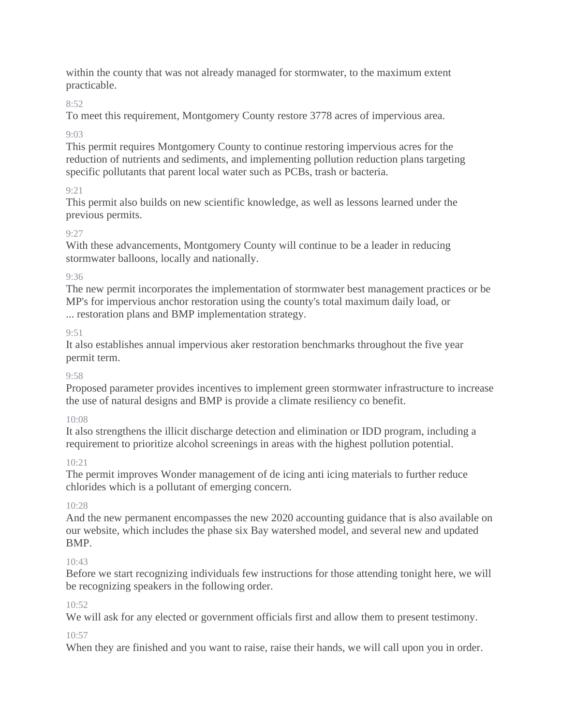within the county that was not already managed for stormwater, to the maximum extent practicable.

## 8:52

To meet this requirement, Montgomery County restore 3778 acres of impervious area.

# $9.03$

This permit requires Montgomery County to continue restoring impervious acres for the reduction of nutrients and sediments, and implementing pollution reduction plans targeting specific pollutants that parent local water such as PCBs, trash or bacteria.

# 9:21

This permit also builds on new scientific knowledge, as well as lessons learned under the previous permits.

# 9:27

With these advancements, Montgomery County will continue to be a leader in reducing stormwater balloons, locally and nationally.

# 9:36

The new permit incorporates the implementation of stormwater best management practices or be MP's for impervious anchor restoration using the county's total maximum daily load, or ... restoration plans and BMP implementation strategy.

# 9:51

It also establishes annual impervious aker restoration benchmarks throughout the five year permit term.

# $9.58$

Proposed parameter provides incentives to implement green stormwater infrastructure to increase the use of natural designs and BMP is provide a climate resiliency co benefit.

# 10:08

It also strengthens the illicit discharge detection and elimination or IDD program, including a requirement to prioritize alcohol screenings in areas with the highest pollution potential.

# 10:21

The permit improves Wonder management of de icing anti icing materials to further reduce chlorides which is a pollutant of emerging concern.

# $10.28$

And the new permanent encompasses the new 2020 accounting guidance that is also available on our website, which includes the phase six Bay watershed model, and several new and updated BMP.

# 10:43

Before we start recognizing individuals few instructions for those attending tonight here, we will be recognizing speakers in the following order.

# 10:52

We will ask for any elected or government officials first and allow them to present testimony.

# $10:57$

When they are finished and you want to raise, raise their hands, we will call upon you in order.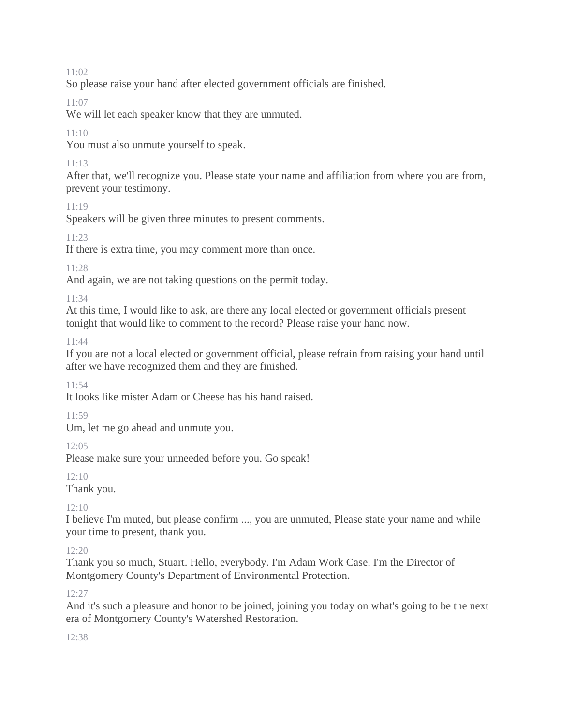So please raise your hand after elected government officials are finished.

## 11:07

We will let each speaker know that they are unmuted.

## 11:10

You must also unmute yourself to speak.

# 11:13

After that, we'll recognize you. Please state your name and affiliation from where you are from, prevent your testimony.

## 11:19

Speakers will be given three minutes to present comments.

## 11:23

If there is extra time, you may comment more than once.

## 11:28

And again, we are not taking questions on the permit today.

## 11:34

At this time, I would like to ask, are there any local elected or government officials present tonight that would like to comment to the record? Please raise your hand now.

## 11:44

If you are not a local elected or government official, please refrain from raising your hand until after we have recognized them and they are finished.

## 11:54

It looks like mister Adam or Cheese has his hand raised.

## 11:59

Um, let me go ahead and unmute you.

## 12:05

Please make sure your unneeded before you. Go speak!

## 12:10

Thank you.

# 12:10

I believe I'm muted, but please confirm ..., you are unmuted, Please state your name and while your time to present, thank you.

# 12:20

Thank you so much, Stuart. Hello, everybody. I'm Adam Work Case. I'm the Director of Montgomery County's Department of Environmental Protection.

## 12:27

And it's such a pleasure and honor to be joined, joining you today on what's going to be the next era of Montgomery County's Watershed Restoration.

## 12:38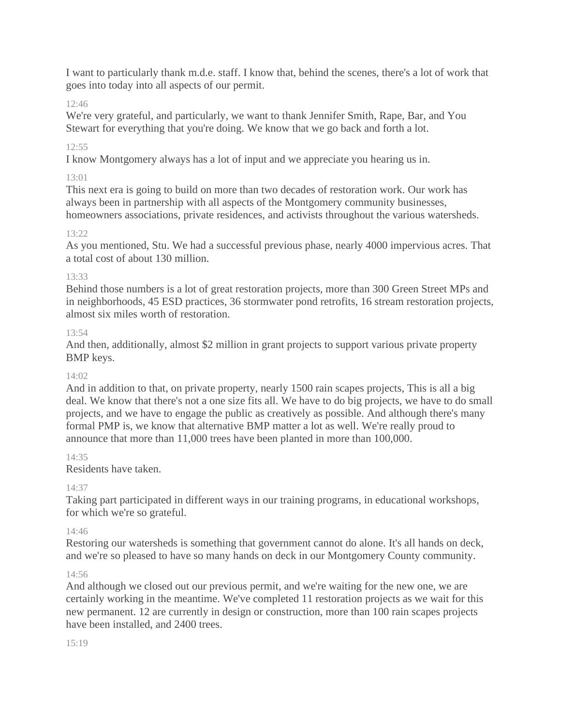I want to particularly thank m.d.e. staff. I know that, behind the scenes, there's a lot of work that goes into today into all aspects of our permit.

## 12:46

We're very grateful, and particularly, we want to thank Jennifer Smith, Rape, Bar, and You Stewart for everything that you're doing. We know that we go back and forth a lot.

## 12:55

I know Montgomery always has a lot of input and we appreciate you hearing us in.

## 13:01

This next era is going to build on more than two decades of restoration work. Our work has always been in partnership with all aspects of the Montgomery community businesses, homeowners associations, private residences, and activists throughout the various watersheds.

## 13:22

As you mentioned, Stu. We had a successful previous phase, nearly 4000 impervious acres. That a total cost of about 130 million.

## 13:33

Behind those numbers is a lot of great restoration projects, more than 300 Green Street MPs and in neighborhoods, 45 ESD practices, 36 stormwater pond retrofits, 16 stream restoration projects, almost six miles worth of restoration.

## 13:54

And then, additionally, almost \$2 million in grant projects to support various private property BMP keys.

## 14:02

And in addition to that, on private property, nearly 1500 rain scapes projects, This is all a big deal. We know that there's not a one size fits all. We have to do big projects, we have to do small projects, and we have to engage the public as creatively as possible. And although there's many formal PMP is, we know that alternative BMP matter a lot as well. We're really proud to announce that more than 11,000 trees have been planted in more than 100,000.

## $14.35$

Residents have taken.

# 14:37

Taking part participated in different ways in our training programs, in educational workshops, for which we're so grateful.

## 14:46

Restoring our watersheds is something that government cannot do alone. It's all hands on deck, and we're so pleased to have so many hands on deck in our Montgomery County community.

## 14:56

And although we closed out our previous permit, and we're waiting for the new one, we are certainly working in the meantime. We've completed 11 restoration projects as we wait for this new permanent. 12 are currently in design or construction, more than 100 rain scapes projects have been installed, and 2400 trees.

#### 15:19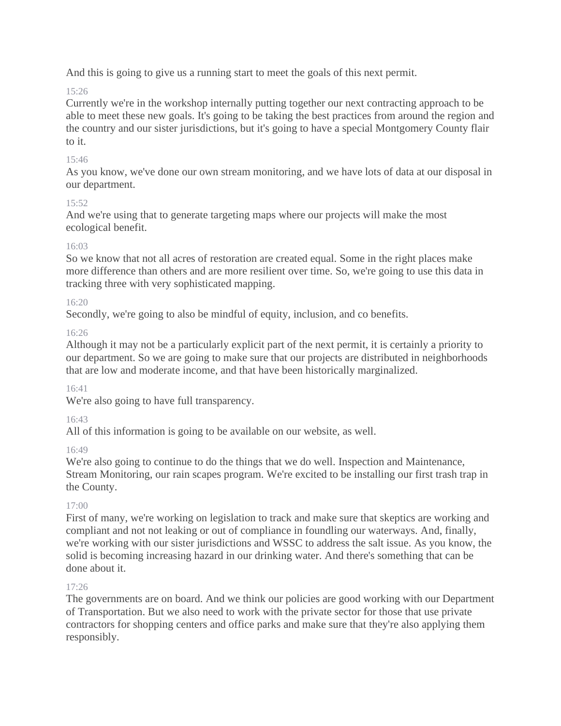And this is going to give us a running start to meet the goals of this next permit.

# 15:26

Currently we're in the workshop internally putting together our next contracting approach to be able to meet these new goals. It's going to be taking the best practices from around the region and the country and our sister jurisdictions, but it's going to have a special Montgomery County flair to it.

## 15:46

As you know, we've done our own stream monitoring, and we have lots of data at our disposal in our department.

## 15:52

And we're using that to generate targeting maps where our projects will make the most ecological benefit.

## 16:03

So we know that not all acres of restoration are created equal. Some in the right places make more difference than others and are more resilient over time. So, we're going to use this data in tracking three with very sophisticated mapping.

# 16:20

Secondly, we're going to also be mindful of equity, inclusion, and co benefits.

## 16:26

Although it may not be a particularly explicit part of the next permit, it is certainly a priority to our department. So we are going to make sure that our projects are distributed in neighborhoods that are low and moderate income, and that have been historically marginalized.

## 16:41

We're also going to have full transparency.

## 16:43

All of this information is going to be available on our website, as well.

## 16:49

We're also going to continue to do the things that we do well. Inspection and Maintenance, Stream Monitoring, our rain scapes program. We're excited to be installing our first trash trap in the County.

## 17:00

First of many, we're working on legislation to track and make sure that skeptics are working and compliant and not not leaking or out of compliance in foundling our waterways. And, finally, we're working with our sister jurisdictions and WSSC to address the salt issue. As you know, the solid is becoming increasing hazard in our drinking water. And there's something that can be done about it.

## 17:26

The governments are on board. And we think our policies are good working with our Department of Transportation. But we also need to work with the private sector for those that use private contractors for shopping centers and office parks and make sure that they're also applying them responsibly.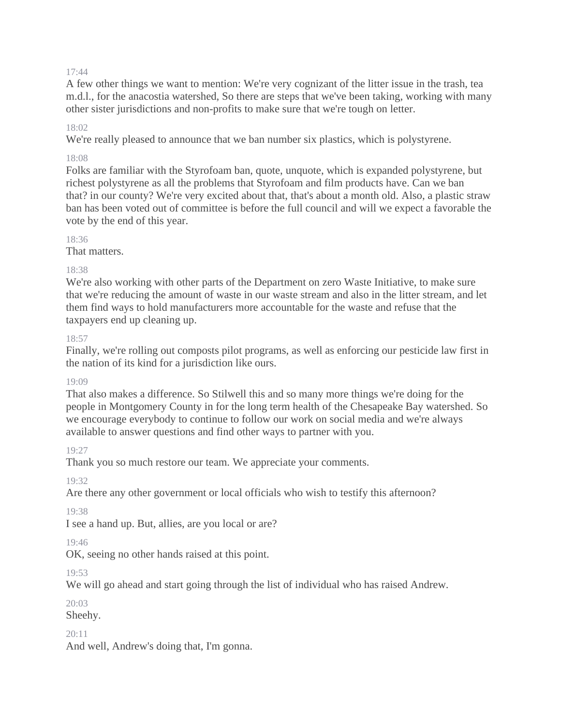A few other things we want to mention: We're very cognizant of the litter issue in the trash, tea m.d.l., for the anacostia watershed, So there are steps that we've been taking, working with many other sister jurisdictions and non-profits to make sure that we're tough on letter.

#### 18:02

We're really pleased to announce that we ban number six plastics, which is polystyrene.

#### 18:08

Folks are familiar with the Styrofoam ban, quote, unquote, which is expanded polystyrene, but richest polystyrene as all the problems that Styrofoam and film products have. Can we ban that? in our county? We're very excited about that, that's about a month old. Also, a plastic straw ban has been voted out of committee is before the full council and will we expect a favorable the vote by the end of this year.

#### 18:36

That matters.

#### 18:38

We're also working with other parts of the Department on zero Waste Initiative, to make sure that we're reducing the amount of waste in our waste stream and also in the litter stream, and let them find ways to hold manufacturers more accountable for the waste and refuse that the taxpayers end up cleaning up.

#### 18:57

Finally, we're rolling out composts pilot programs, as well as enforcing our pesticide law first in the nation of its kind for a jurisdiction like ours.

#### 19:09

That also makes a difference. So Stilwell this and so many more things we're doing for the people in Montgomery County in for the long term health of the Chesapeake Bay watershed. So we encourage everybody to continue to follow our work on social media and we're always available to answer questions and find other ways to partner with you.

#### 19:27

Thank you so much restore our team. We appreciate your comments.

#### 19:32

Are there any other government or local officials who wish to testify this afternoon?

#### 19:38

I see a hand up. But, allies, are you local or are?

#### 19:46

OK, seeing no other hands raised at this point.

#### 19:53

We will go ahead and start going through the list of individual who has raised Andrew.

#### $20.03$

Sheehy.

#### 20:11

And well, Andrew's doing that, I'm gonna.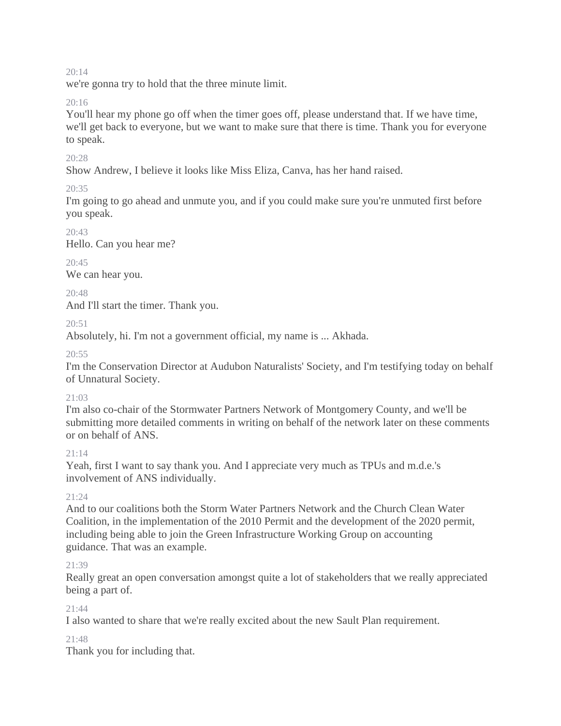we're gonna try to hold that the three minute limit.

## 20:16

You'll hear my phone go off when the timer goes off, please understand that. If we have time, we'll get back to everyone, but we want to make sure that there is time. Thank you for everyone to speak.

## 20:28

Show Andrew, I believe it looks like Miss Eliza, Canva, has her hand raised.

## $20.35$

I'm going to go ahead and unmute you, and if you could make sure you're unmuted first before you speak.

## $20.43$

Hello. Can you hear me?

# 20:45

We can hear you.

## $20.48$

And I'll start the timer. Thank you.

20:51

Absolutely, hi. I'm not a government official, my name is ... Akhada.

 $20.55$ 

I'm the Conservation Director at Audubon Naturalists' Society, and I'm testifying today on behalf of Unnatural Society.

## $21.03$

I'm also co-chair of the Stormwater Partners Network of Montgomery County, and we'll be submitting more detailed comments in writing on behalf of the network later on these comments or on behalf of ANS.

## $21 \cdot 14$

Yeah, first I want to say thank you. And I appreciate very much as TPUs and m.d.e.'s involvement of ANS individually.

## $21.24$

And to our coalitions both the Storm Water Partners Network and the Church Clean Water Coalition, in the implementation of the 2010 Permit and the development of the 2020 permit, including being able to join the Green Infrastructure Working Group on accounting guidance. That was an example.

## 21:39

Really great an open conversation amongst quite a lot of stakeholders that we really appreciated being a part of.

## 21:44

I also wanted to share that we're really excited about the new Sault Plan requirement.

#### 21:48

Thank you for including that.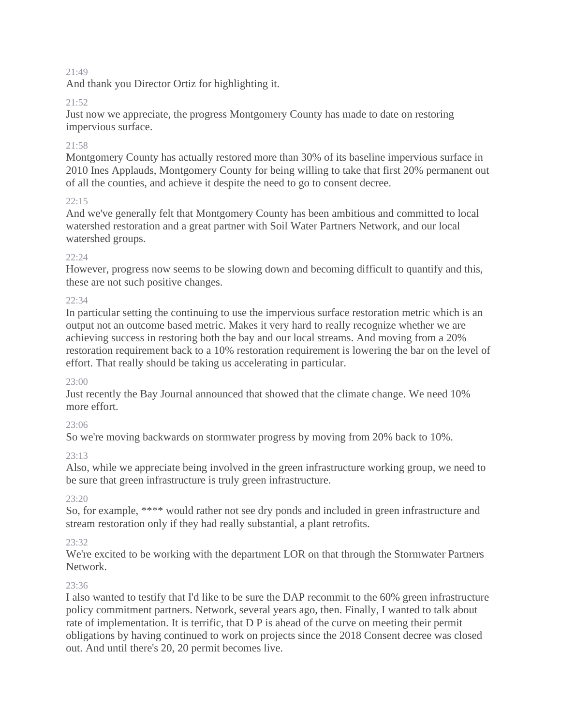And thank you Director Ortiz for highlighting it.

## 21:52

Just now we appreciate, the progress Montgomery County has made to date on restoring impervious surface.

## 21:58

Montgomery County has actually restored more than 30% of its baseline impervious surface in 2010 Ines Applauds, Montgomery County for being willing to take that first 20% permanent out of all the counties, and achieve it despite the need to go to consent decree.

## 22:15

And we've generally felt that Montgomery County has been ambitious and committed to local watershed restoration and a great partner with Soil Water Partners Network, and our local watershed groups.

## 22:24

However, progress now seems to be slowing down and becoming difficult to quantify and this, these are not such positive changes.

## 22:34

In particular setting the continuing to use the impervious surface restoration metric which is an output not an outcome based metric. Makes it very hard to really recognize whether we are achieving success in restoring both the bay and our local streams. And moving from a 20% restoration requirement back to a 10% restoration requirement is lowering the bar on the level of effort. That really should be taking us accelerating in particular.

#### 23:00

Just recently the Bay Journal announced that showed that the climate change. We need 10% more effort.

## 23:06

So we're moving backwards on stormwater progress by moving from 20% back to 10%.

## $23.13$

Also, while we appreciate being involved in the green infrastructure working group, we need to be sure that green infrastructure is truly green infrastructure.

## $23:20$

So, for example, \*\*\*\* would rather not see dry ponds and included in green infrastructure and stream restoration only if they had really substantial, a plant retrofits.

## 23:32

We're excited to be working with the department LOR on that through the Stormwater Partners Network.

#### 23:36

I also wanted to testify that I'd like to be sure the DAP recommit to the 60% green infrastructure policy commitment partners. Network, several years ago, then. Finally, I wanted to talk about rate of implementation. It is terrific, that D P is ahead of the curve on meeting their permit obligations by having continued to work on projects since the 2018 Consent decree was closed out. And until there's 20, 20 permit becomes live.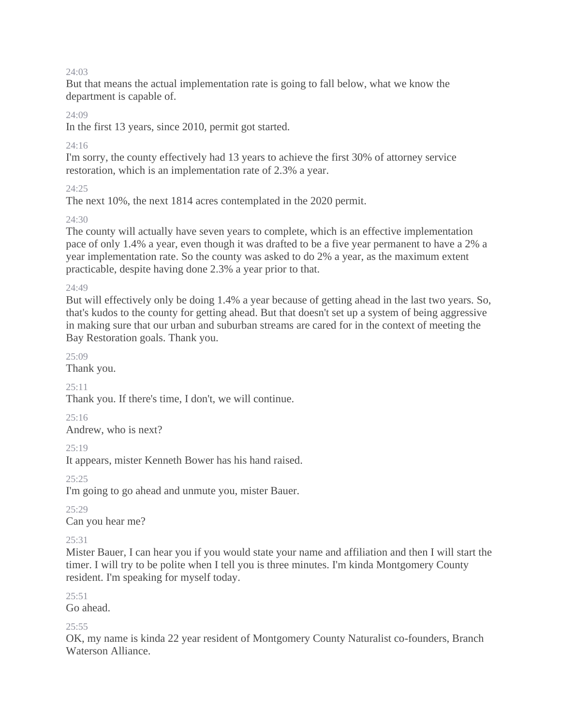But that means the actual implementation rate is going to fall below, what we know the department is capable of.

#### $24.09$

In the first 13 years, since 2010, permit got started.

#### 24:16

I'm sorry, the county effectively had 13 years to achieve the first 30% of attorney service restoration, which is an implementation rate of 2.3% a year.

#### $24.25$

The next 10%, the next 1814 acres contemplated in the 2020 permit.

## $24.30$

The county will actually have seven years to complete, which is an effective implementation pace of only 1.4% a year, even though it was drafted to be a five year permanent to have a 2% a year implementation rate. So the county was asked to do 2% a year, as the maximum extent practicable, despite having done 2.3% a year prior to that.

#### 24:49

But will effectively only be doing 1.4% a year because of getting ahead in the last two years. So, that's kudos to the county for getting ahead. But that doesn't set up a system of being aggressive in making sure that our urban and suburban streams are cared for in the context of meeting the Bay Restoration goals. Thank you.

 $25.09$ 

Thank you.

#### $25:11$

Thank you. If there's time, I don't, we will continue.

 $25.16$ 

Andrew, who is next?

25:19

It appears, mister Kenneth Bower has his hand raised.

 $25.25$ 

I'm going to go ahead and unmute you, mister Bauer.

25:29

Can you hear me?

#### $25.31$

Mister Bauer, I can hear you if you would state your name and affiliation and then I will start the timer. I will try to be polite when I tell you is three minutes. I'm kinda Montgomery County resident. I'm speaking for myself today.

 $25:51$ 

Go ahead.

#### $25:55$

OK, my name is kinda 22 year resident of Montgomery County Naturalist co-founders, Branch Waterson Alliance.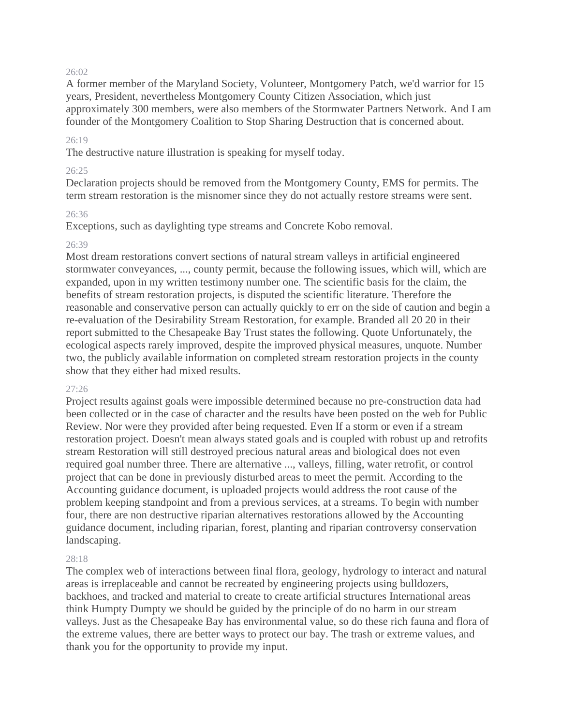A former member of the Maryland Society, Volunteer, Montgomery Patch, we'd warrior for 15 years, President, nevertheless Montgomery County Citizen Association, which just approximately 300 members, were also members of the Stormwater Partners Network. And I am founder of the Montgomery Coalition to Stop Sharing Destruction that is concerned about.

#### 26:19

The destructive nature illustration is speaking for myself today.

#### $26.25$

Declaration projects should be removed from the Montgomery County, EMS for permits. The term stream restoration is the misnomer since they do not actually restore streams were sent.

#### 26:36

Exceptions, such as daylighting type streams and Concrete Kobo removal.

#### 26:39

Most dream restorations convert sections of natural stream valleys in artificial engineered stormwater conveyances, ..., county permit, because the following issues, which will, which are expanded, upon in my written testimony number one. The scientific basis for the claim, the benefits of stream restoration projects, is disputed the scientific literature. Therefore the reasonable and conservative person can actually quickly to err on the side of caution and begin a re-evaluation of the Desirability Stream Restoration, for example. Branded all 20 20 in their report submitted to the Chesapeake Bay Trust states the following. Quote Unfortunately, the ecological aspects rarely improved, despite the improved physical measures, unquote. Number two, the publicly available information on completed stream restoration projects in the county show that they either had mixed results.

#### 27:26

Project results against goals were impossible determined because no pre-construction data had been collected or in the case of character and the results have been posted on the web for Public Review. Nor were they provided after being requested. Even If a storm or even if a stream restoration project. Doesn't mean always stated goals and is coupled with robust up and retrofits stream Restoration will still destroyed precious natural areas and biological does not even required goal number three. There are alternative ..., valleys, filling, water retrofit, or control project that can be done in previously disturbed areas to meet the permit. According to the Accounting guidance document, is uploaded projects would address the root cause of the problem keeping standpoint and from a previous services, at a streams. To begin with number four, there are non destructive riparian alternatives restorations allowed by the Accounting guidance document, including riparian, forest, planting and riparian controversy conservation landscaping.

#### 28:18

The complex web of interactions between final flora, geology, hydrology to interact and natural areas is irreplaceable and cannot be recreated by engineering projects using bulldozers, backhoes, and tracked and material to create to create artificial structures International areas think Humpty Dumpty we should be guided by the principle of do no harm in our stream valleys. Just as the Chesapeake Bay has environmental value, so do these rich fauna and flora of the extreme values, there are better ways to protect our bay. The trash or extreme values, and thank you for the opportunity to provide my input.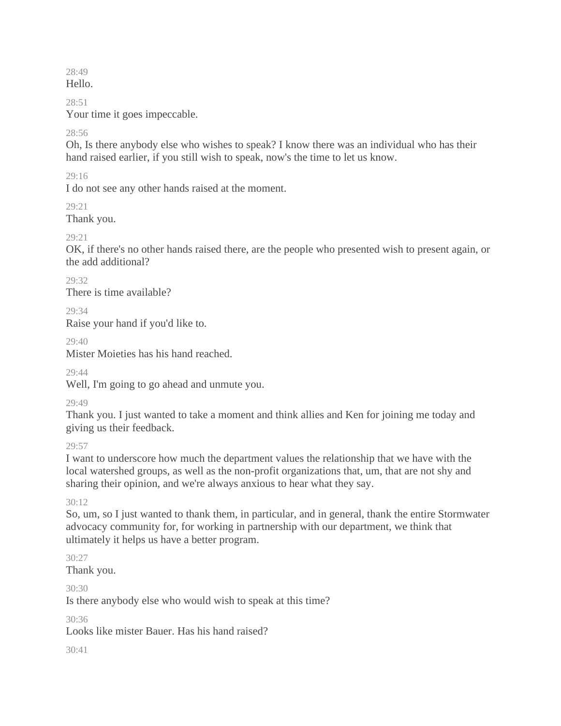28:49 Hello.

28:51

Your time it goes impeccable.

#### 28:56

Oh, Is there anybody else who wishes to speak? I know there was an individual who has their hand raised earlier, if you still wish to speak, now's the time to let us know.

## 29:16

I do not see any other hands raised at the moment.

 $29.21$ 

Thank you.

## 29:21

OK, if there's no other hands raised there, are the people who presented wish to present again, or the add additional?

 $20.32$ There is time available?

 $29.34$ 

Raise your hand if you'd like to.

 $29.40$ 

Mister Moieties has his hand reached.

 $29.44$ 

Well, I'm going to go ahead and unmute you.

29:49

Thank you. I just wanted to take a moment and think allies and Ken for joining me today and giving us their feedback.

 $29.57$ 

I want to underscore how much the department values the relationship that we have with the local watershed groups, as well as the non-profit organizations that, um, that are not shy and sharing their opinion, and we're always anxious to hear what they say.

 $30.12$ 

So, um, so I just wanted to thank them, in particular, and in general, thank the entire Stormwater advocacy community for, for working in partnership with our department, we think that ultimately it helps us have a better program.

30:27

Thank you.

30:30

Is there anybody else who would wish to speak at this time?

30:36

Looks like mister Bauer. Has his hand raised?

 $30.41$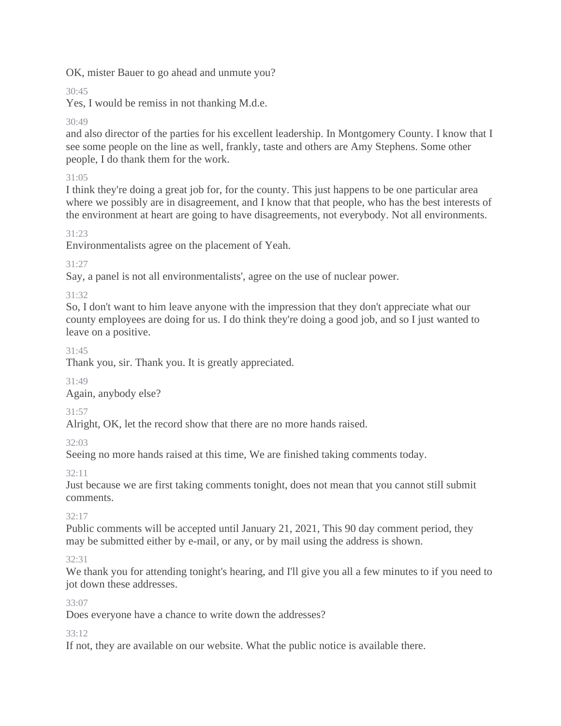OK, mister Bauer to go ahead and unmute you?

# $30.45$

Yes, I would be remiss in not thanking M.d.e.

# 30:49

and also director of the parties for his excellent leadership. In Montgomery County. I know that I see some people on the line as well, frankly, taste and others are Amy Stephens. Some other people, I do thank them for the work.

# 31:05

I think they're doing a great job for, for the county. This just happens to be one particular area where we possibly are in disagreement, and I know that that people, who has the best interests of the environment at heart are going to have disagreements, not everybody. Not all environments.

# 31:23

Environmentalists agree on the placement of Yeah.

# 31:27

Say, a panel is not all environmentalists', agree on the use of nuclear power.

## 31:32

So, I don't want to him leave anyone with the impression that they don't appreciate what our county employees are doing for us. I do think they're doing a good job, and so I just wanted to leave on a positive.

## 31:45

Thank you, sir. Thank you. It is greatly appreciated.

31:49

Again, anybody else?

# 31:57

Alright, OK, let the record show that there are no more hands raised.

# 32:03

Seeing no more hands raised at this time, We are finished taking comments today.

# 32:11

Just because we are first taking comments tonight, does not mean that you cannot still submit comments.

# 32:17

Public comments will be accepted until January 21, 2021, This 90 day comment period, they may be submitted either by e-mail, or any, or by mail using the address is shown.

# 32:31

We thank you for attending tonight's hearing, and I'll give you all a few minutes to if you need to jot down these addresses.

## 33:07

Does everyone have a chance to write down the addresses?

# 33:12

If not, they are available on our website. What the public notice is available there.